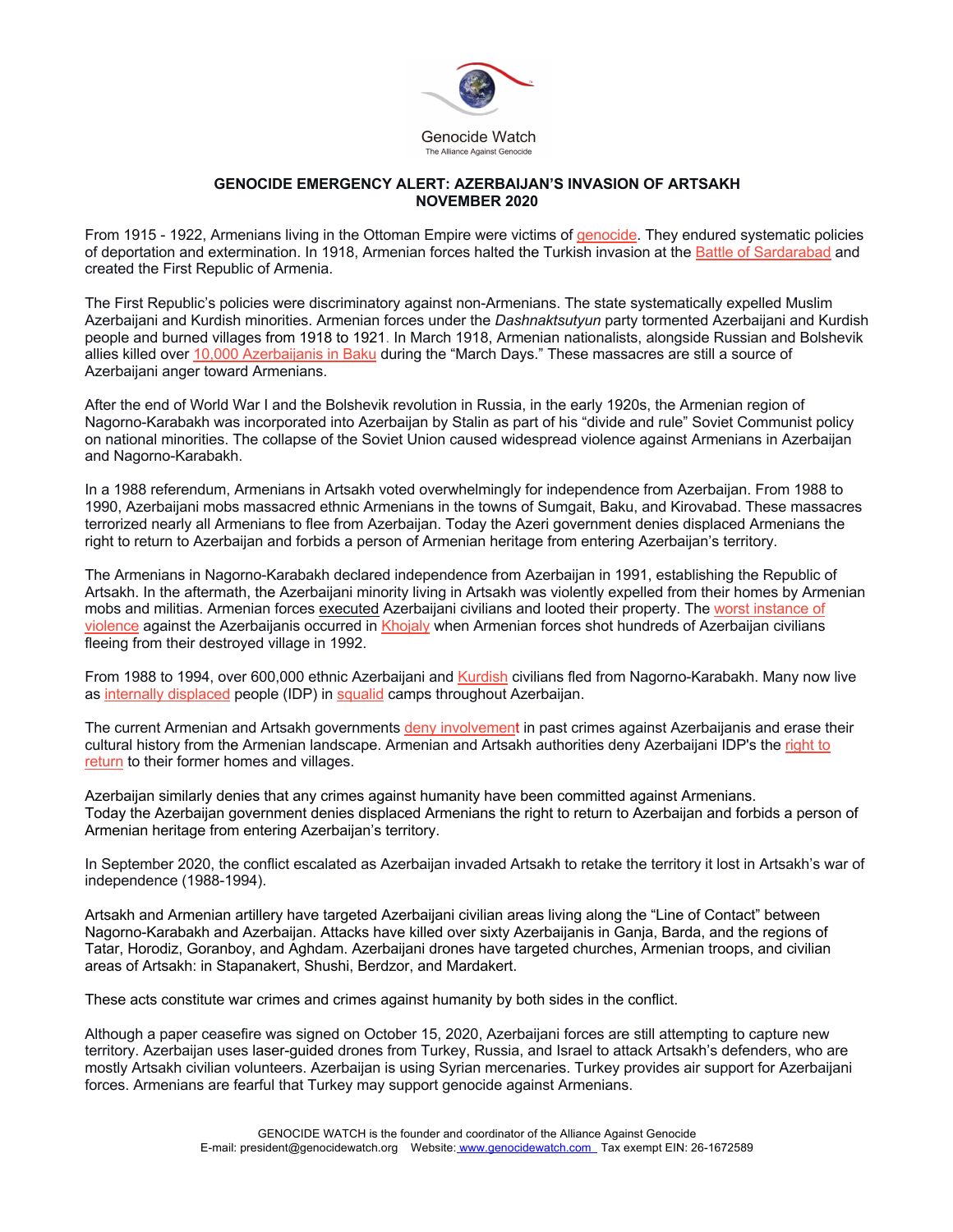

## **GENOCIDE EMERGENCY ALERT: AZERBAIJAN'S INVASION OF ARTSAKH NOVEMBER 2020**

From 1915 - 1922, Armenians living in the Ottoman Empire were victims of genocide. They endured systematic policies of deportation and extermination. In 1918, Armenian forces halted the Turkish invasion at the Battle of Sardarabad and created the First Republic of Armenia.

The First Republic's policies were discriminatory against non-Armenians. The state systematically expelled Muslim Azerbaijani and Kurdish minorities. Armenian forces under the *Dashnaktsutyun* party tormented Azerbaijani and Kurdish people and burned villages from 1918 to 1921. In March 1918, Armenian nationalists, alongside Russian and Bolshevik allies killed over 10,000 Azerbaijanis in Baku during the "March Days." These massacres are still a source of Azerbaijani anger toward Armenians.

After the end of World War I and the Bolshevik revolution in Russia, in the early 1920s, the Armenian region of Nagorno-Karabakh was incorporated into Azerbaijan by Stalin as part of his "divide and rule" Soviet Communist policy on national minorities. The collapse of the Soviet Union caused widespread violence against Armenians in Azerbaijan and Nagorno-Karabakh.

In a 1988 referendum, Armenians in Artsakh voted overwhelmingly for independence from Azerbaijan. From 1988 to 1990, Azerbaijani mobs massacred ethnic Armenians in the towns of Sumgait, Baku, and Kirovabad. These massacres terrorized nearly all Armenians to flee from Azerbaijan. Today the Azeri government denies displaced Armenians the right to return to Azerbaijan and forbids a person of Armenian heritage from entering Azerbaijan's territory.

The Armenians in Nagorno-Karabakh declared independence from Azerbaijan in 1991, establishing the Republic of Artsakh. In the aftermath, the Azerbaijani minority living in Artsakh was violently expelled from their homes by Armenian mobs and militias. Armenian forces executed Azerbaijani civilians and looted their property. The worst instance of violence against the Azerbaijanis occurred in Khojaly when Armenian forces shot hundreds of Azerbaijan civilians fleeing from their destroyed village in 1992.

From 1988 to 1994, over 600,000 ethnic Azerbaijani and Kurdish civilians fled from Nagorno-Karabakh. Many now live as internally displaced people (IDP) in squalid camps throughout Azerbaijan.

The current Armenian and Artsakh governments deny involvement in past crimes against Azerbaijanis and erase their cultural history from the Armenian landscape. Armenian and Artsakh authorities deny Azerbaijani IDP's the right to return to their former homes and villages.

Azerbaijan similarly denies that any crimes against humanity have been committed against Armenians. Today the Azerbaijan government denies displaced Armenians the right to return to Azerbaijan and forbids a person of Armenian heritage from entering Azerbaijan's territory.

In September 2020, the conflict escalated as Azerbaijan invaded Artsakh to retake the territory it lost in Artsakh's war of independence (1988-1994).

Artsakh and Armenian artillery have targeted Azerbaijani civilian areas living along the "Line of Contact" between Nagorno-Karabakh and Azerbaijan. Attacks have killed over sixty Azerbaijanis in Ganja, Barda, and the regions of Tatar, Horodiz, Goranboy, and Aghdam. Azerbaijani drones have targeted churches, Armenian troops, and civilian areas of Artsakh: in Stapanakert, Shushi, Berdzor, and Mardakert.

These acts constitute war crimes and crimes against humanity by both sides in the conflict.

Although a paper ceasefire was signed on October 15, 2020, Azerbaijani forces are still attempting to capture new territory. Azerbaijan uses laser-guided drones from Turkey, Russia, and Israel to attack Artsakh's defenders, who are mostly Artsakh civilian volunteers. Azerbaijan is using Syrian mercenaries. Turkey provides air support for Azerbaijani forces. Armenians are fearful that Turkey may support genocide against Armenians.